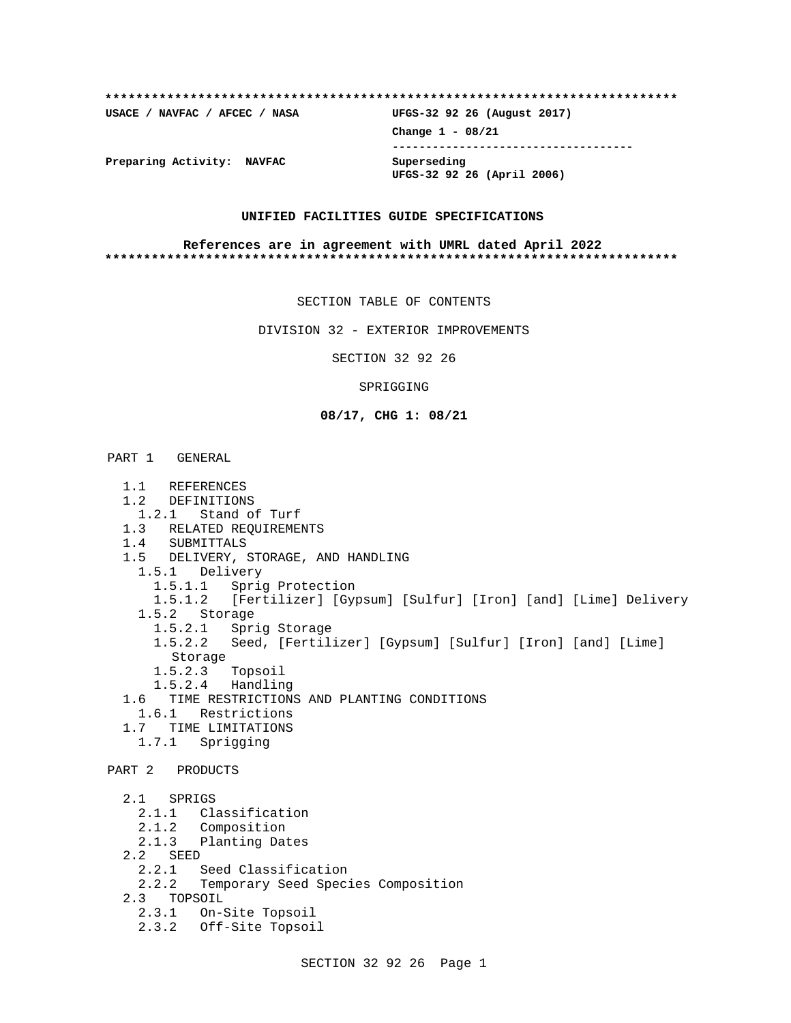| USACE / NAVFAC / AFCEC / NASA | UFGS-32 92 26 (August 2017) |
|-------------------------------|-----------------------------|
|                               | Change $1 - 08/21$          |
| Preparing Activity: NAVFAC    | Superseding                 |
|                               | UFGS-32 92 26 (April 2006)  |

### **UNIFIED FACILITIES GUIDE SPECIFICATIONS**

### **References are in agreement with UMRL dated April 2022 \*\*\*\*\*\*\*\*\*\*\*\*\*\*\*\*\*\*\*\*\*\*\*\*\*\*\*\*\*\*\*\*\*\*\*\*\*\*\*\*\*\*\*\*\*\*\*\*\*\*\*\*\*\*\*\*\*\*\*\*\*\*\*\*\*\*\*\*\*\*\*\*\*\***

SECTION TABLE OF CONTENTS

DIVISION 32 - EXTERIOR IMPROVEMENTS

SECTION 32 92 26

SPRIGGING

## **08/17, CHG 1: 08/21**

# PART 1 GENERAL

 1.1 REFERENCES 1.2 DEFINITIONS 1.2.1 Stand of Turf 1.3 RELATED REQUIREMENTS 1.4 SUBMITTALS 1.5 DELIVERY, STORAGE, AND HANDLING 1.5.1 Delivery 1.5.1.1 Sprig Protection 1.5.1.2 [Fertilizer] [Gypsum] [Sulfur] [Iron] [and] [Lime] Delivery 1.5.2 Storage 1.5.2.1 Sprig Storage 1.5.2.2 Seed, [Fertilizer] [Gypsum] [Sulfur] [Iron] [and] [Lime] Storage 1.5.2.3 Topsoil 1.5.2.4 Handling 1.6 TIME RESTRICTIONS AND PLANTING CONDITIONS 1.6.1 Restrictions 1.7 TIME LIMITATIONS 1.7.1 Sprigging PART 2 PRODUCTS 2.1 SPRIGS 2.1.1 Classification 2.1.2 Composition 2.1.3 Planting Dates 2.2 SEED 2.2.1 Seed Classification 2.2.2 Temporary Seed Species Composition 2.3 TOPSOIL<br>2.3.1 On-3 On-Site Topsoil 2.3.2 Off-Site Topsoil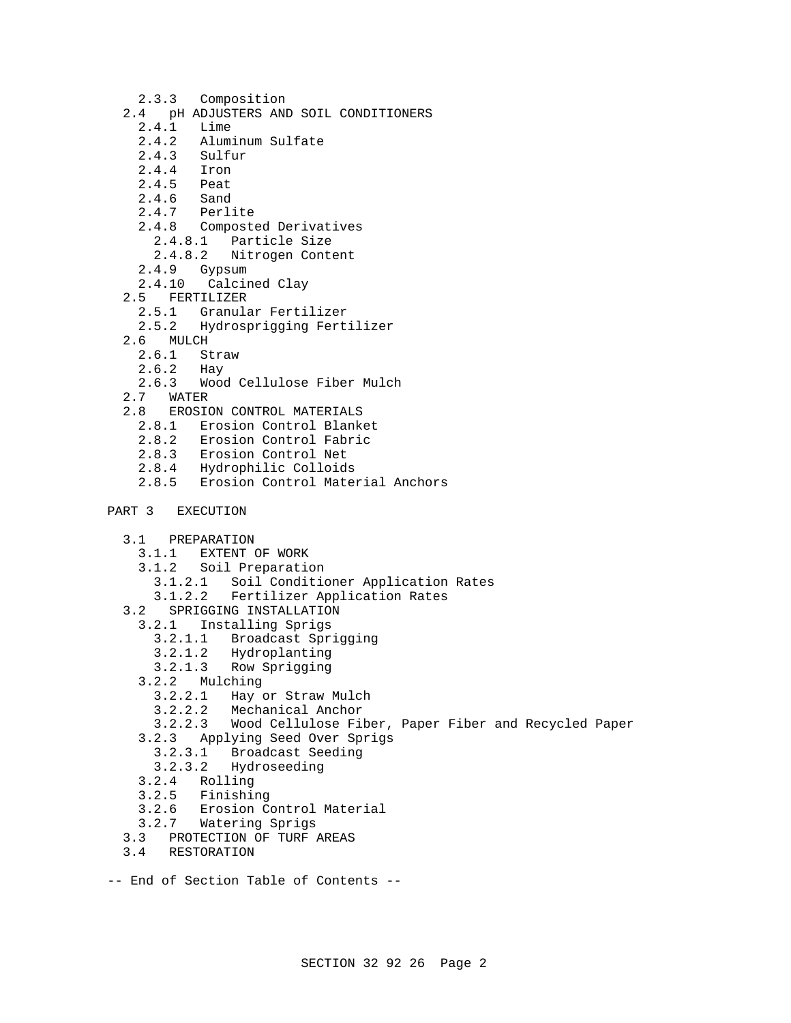- 2.3.3 Composition
- 2.4 pH ADJUSTERS AND SOIL CONDITIONERS
	- 2.4.1 Lime
	- 2.4.2 Aluminum Sulfate
	- 2.4.3 Sulfur
	- 2.4.4 Iron
	- 2.4.5 Peat<br>2.4.6 Sand
	- $2.4.6$
	- 2.4.7 Perlite
	- 2.4.8 Composted Derivatives
		- 2.4.8.1 Particle Size
		- 2.4.8.2 Nitrogen Content
	- 2.4.9 Gypsum
	- 2.4.10 Calcined Clay
- 2.5 FERTILIZER
	- 2.5.1 Granular Fertilizer
	- 2.5.2 Hydrosprigging Fertilizer
- 2.6 MULCH
	- 2.6.1 Straw
	- 2.6.2 Hay
- 2.6.3 Wood Cellulose Fiber Mulch
- 2.7 WATER
- 2.8 EROSION CONTROL MATERIALS
	- 2.8.1 Erosion Control Blanket
	- 2.8.2 Erosion Control Fabric
	- 2.8.3 Erosion Control Net
	- 2.8.4 Hydrophilic Colloids
	- 2.8.5 Erosion Control Material Anchors
- PART 3 EXECUTION
	- 3.1 PREPARATION
		- 3.1.1 EXTENT OF WORK
		- 3.1.2 Soil Preparation
			- 3.1.2.1 Soil Conditioner Application Rates
		- 3.1.2.2 Fertilizer Application Rates
	- 3.2 SPRIGGING INSTALLATION
		- 3.2.1 Installing Sprigs
			- 3.2.1.1 Broadcast Sprigging
			- 3.2.1.2 Hydroplanting
			- 3.2.1.3 Row Sprigging
		- 3.2.2 Mulching
			- 3.2.2.1 Hay or Straw Mulch
			- 3.2.2.2 Mechanical Anchor
		- 3.2.2.3 Wood Cellulose Fiber, Paper Fiber and Recycled Paper
		- 3.2.3 Applying Seed Over Sprigs
			- 3.2.3.1 Broadcast Seeding
		- 3.2.3.2 Hydroseeding
		- 3.2.4 Rolling
		- 3.2.5 Finishing
		- 3.2.6 Erosion Control Material
		- 3.2.7 Watering Sprigs
	- 3.3 PROTECTION OF TURF AREAS
	- 3.4 RESTORATION
- -- End of Section Table of Contents --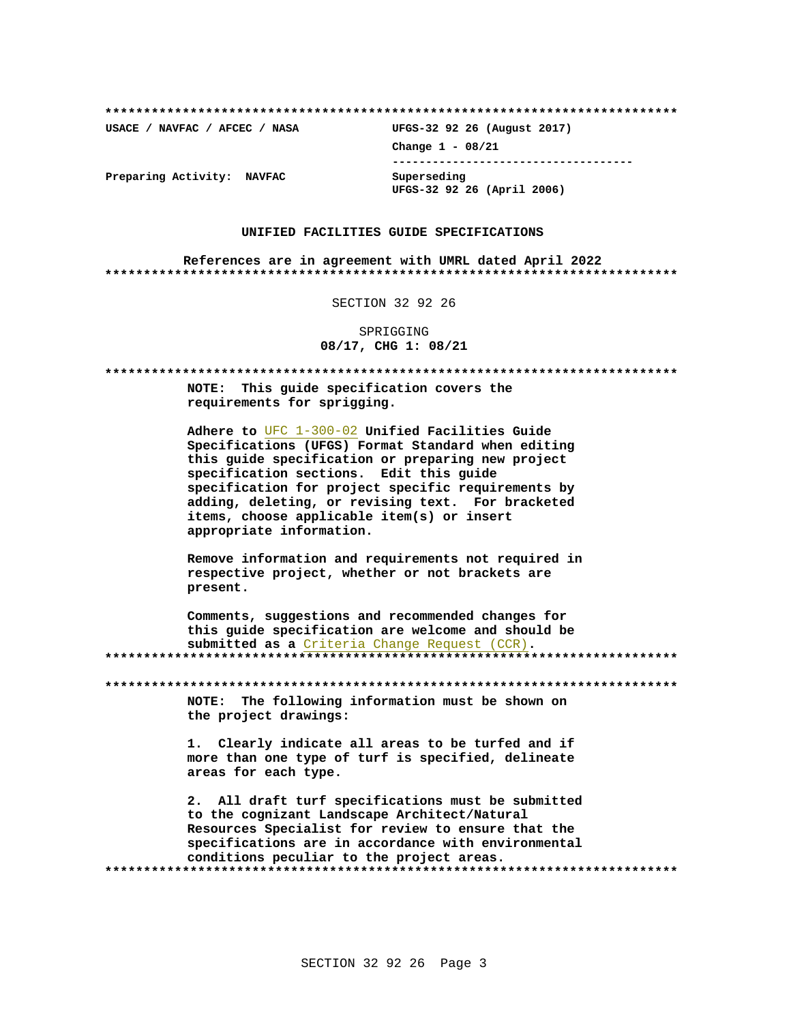USACE / NAVFAC / AFCEC / NASA

UFGS-32 92 26 (August 2017) Change  $1 - 08/21$ ------------------------------------Superseding UFGS-32 92 26 (April 2006)

Preparing Activity: NAVFAC

### UNIFIED FACILITIES GUIDE SPECIFICATIONS

References are in agreement with UMRL dated April 2022 

SECTION 32 92 26

SPRIGGING 08/17, CHG 1: 08/21

\*\*\*\*\*\*\*\*\*\*\*\* NOTE: This quide specification covers the requirements for sprigging. Adhere to UFC 1-300-02 Unified Facilities Guide Specifications (UFGS) Format Standard when editing this guide specification or preparing new project specification sections. Edit this quide specification for project specific requirements by adding, deleting, or revising text. For bracketed items, choose applicable item(s) or insert appropriate information. Remove information and requirements not required in respective project, whether or not brackets are present. Comments, suggestions and recommended changes for this guide specification are welcome and should be submitted as a Criteria Change Request (CCR). NOTE: The following information must be shown on the project drawings: 1. Clearly indicate all areas to be turfed and if more than one type of turf is specified, delineate areas for each type. 2. All draft turf specifications must be submitted to the cognizant Landscape Architect/Natural Resources Specialist for review to ensure that the specifications are in accordance with environmental conditions peculiar to the project areas.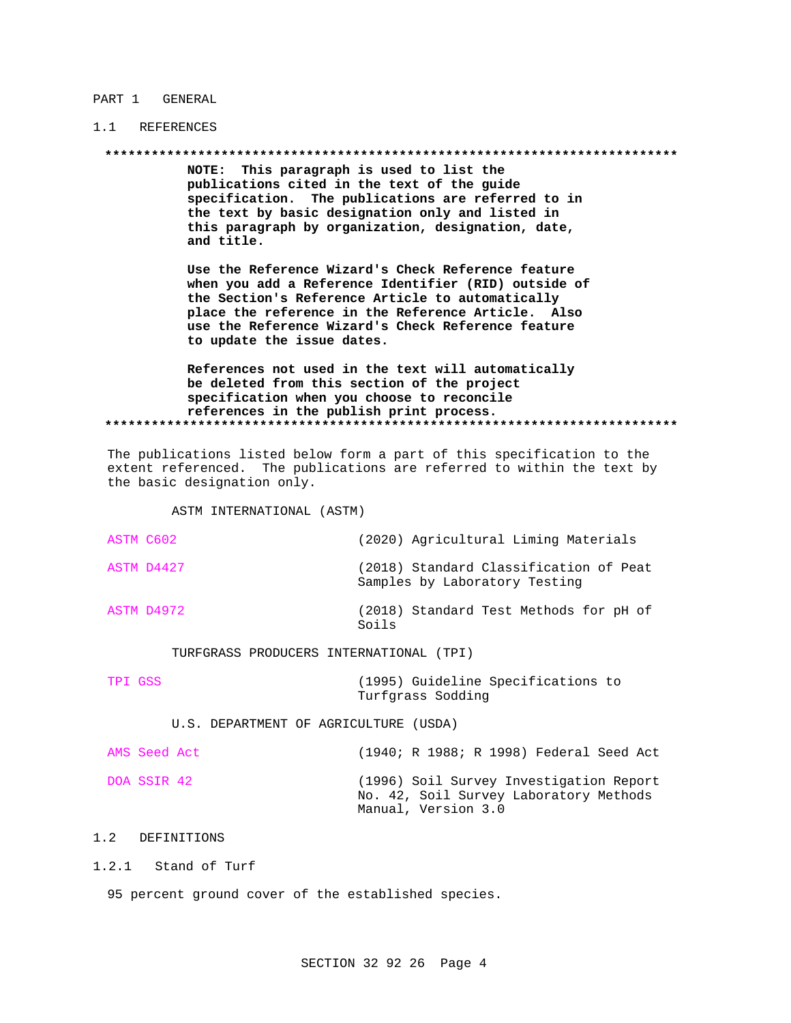### PART 1 GENERAL

# 1.1 REFERENCES

NOTE: This paragraph is used to list the publications cited in the text of the guide specification. The publications are referred to in the text by basic designation only and listed in this paragraph by organization, designation, date, and title.

Use the Reference Wizard's Check Reference feature when you add a Reference Identifier (RID) outside of the Section's Reference Article to automatically place the reference in the Reference Article. Also use the Reference Wizard's Check Reference feature to update the issue dates.

References not used in the text will automatically be deleted from this section of the project specification when you choose to reconcile references in the publish print process. 

The publications listed below form a part of this specification to the extent referenced. The publications are referred to within the text by the basic designation only.

ASTM INTERNATIONAL (ASTM)

| ASTM C602 |            | (2020) Agricultural Liming Materials                                    |
|-----------|------------|-------------------------------------------------------------------------|
|           | ASTM D4427 | (2018) Standard Classification of Peat<br>Samples by Laboratory Testing |
|           | ASTM D4972 | (2018) Standard Test Methods for pH of<br>Soils                         |

TURFGRASS PRODUCERS INTERNATIONAL (TPI)

| TPI GSS | (1995) Guideline Specifications to |  |
|---------|------------------------------------|--|
|         | Turfqrass Sodding                  |  |

U.S. DEPARTMENT OF AGRICULTURE (USDA)

| AMS Seed Act |                     |  |  | (1940; R 1988; R 1998) Federal Seed Act                                           |  |
|--------------|---------------------|--|--|-----------------------------------------------------------------------------------|--|
| DOA SSIR 42  | Manual, Version 3.0 |  |  | (1996) Soil Survey Investigation Report<br>No. 42, Soil Survey Laboratory Methods |  |

# 1.2 DEFINITIONS

1.2.1 Stand of Turf

95 percent ground cover of the established species.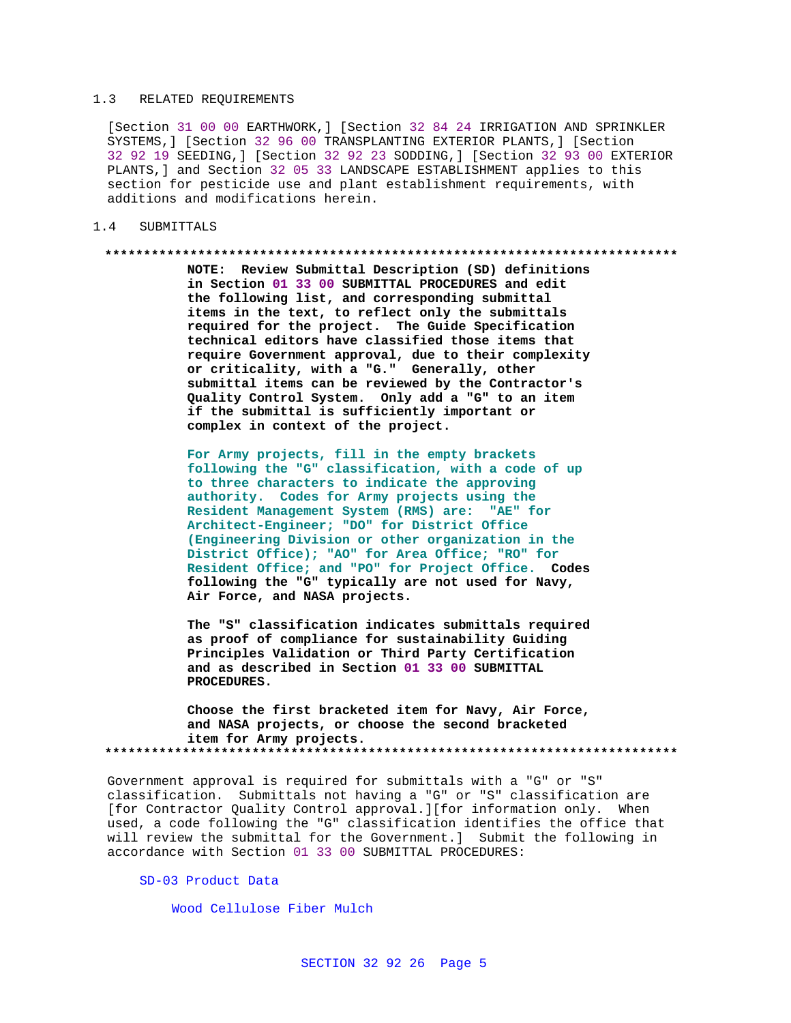## 1.3 RELATED REQUIREMENTS

[Section 31 00 00 EARTHWORK,] [Section 32 84 24 IRRIGATION AND SPRINKLER SYSTEMS,] [Section 32 96 00 TRANSPLANTING EXTERIOR PLANTS,] [Section 32 92 19 SEEDING,] [Section 32 92 23 SODDING,] [Section 32 93 00 EXTERIOR PLANTS,] and Section 32 05 33 LANDSCAPE ESTABLISHMENT applies to this section for pesticide use and plant establishment requirements, with additions and modifications herein.

## 1.4 SUBMITTALS

#### **\*\*\*\*\*\*\*\*\*\*\*\*\*\*\*\*\*\*\*\*\*\*\*\*\*\*\*\*\*\*\*\*\*\*\*\*\*\*\*\*\*\*\*\*\*\*\*\*\*\*\*\*\*\*\*\*\*\*\*\*\*\*\*\*\*\*\*\*\*\*\*\*\*\***

**NOTE: Review Submittal Description (SD) definitions in Section 01 33 00 SUBMITTAL PROCEDURES and edit the following list, and corresponding submittal items in the text, to reflect only the submittals required for the project. The Guide Specification technical editors have classified those items that require Government approval, due to their complexity or criticality, with a "G." Generally, other submittal items can be reviewed by the Contractor's Quality Control System. Only add a "G" to an item if the submittal is sufficiently important or complex in context of the project.**

**For Army projects, fill in the empty brackets following the "G" classification, with a code of up to three characters to indicate the approving authority. Codes for Army projects using the Resident Management System (RMS) are: "AE" for Architect-Engineer; "DO" for District Office (Engineering Division or other organization in the District Office); "AO" for Area Office; "RO" for Resident Office; and "PO" for Project Office. Codes following the "G" typically are not used for Navy, Air Force, and NASA projects.**

**The "S" classification indicates submittals required as proof of compliance for sustainability Guiding Principles Validation or Third Party Certification and as described in Section 01 33 00 SUBMITTAL PROCEDURES.**

**Choose the first bracketed item for Navy, Air Force, and NASA projects, or choose the second bracketed item for Army projects. \*\*\*\*\*\*\*\*\*\*\*\*\*\*\*\*\*\*\*\*\*\*\*\*\*\*\*\*\*\*\*\*\*\*\*\*\*\*\*\*\*\*\*\*\*\*\*\*\*\*\*\*\*\*\*\*\*\*\*\*\*\*\*\*\*\*\*\*\*\*\*\*\*\***

Government approval is required for submittals with a "G" or "S" classification. Submittals not having a "G" or "S" classification are [for Contractor Quality Control approval.][for information only. When used, a code following the "G" classification identifies the office that will review the submittal for the Government.] Submit the following in accordance with Section 01 33 00 SUBMITTAL PROCEDURES:

# SD-03 Product Data

Wood Cellulose Fiber Mulch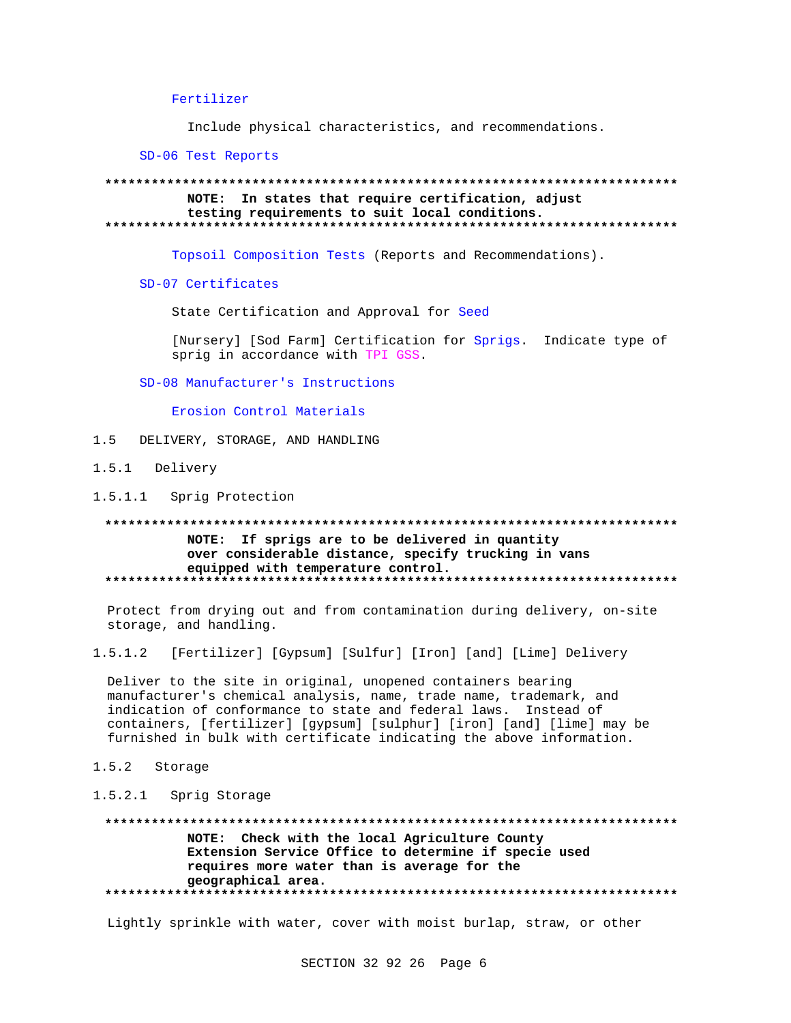## Fertilizer

Include physical characteristics, and recommendations.

SD-06 Test Reports

## NOTE: In states that require certification, adjust testing requirements to suit local conditions.

Topsoil Composition Tests (Reports and Recommendations).

SD-07 Certificates

State Certification and Approval for Seed

[Nursery] [Sod Farm] Certification for Sprigs. Indicate type of sprig in accordance with TPI GSS.

SD-08 Manufacturer's Instructions

Erosion Control Materials

 $1\overline{5}$ DELIVERY, STORAGE, AND HANDLING

- 1.5.1 Delivery
- 1.5.1.1 Sprig Protection

# NOTE: If sprigs are to be delivered in quantity over considerable distance, specify trucking in vans equipped with temperature control.

Protect from drying out and from contamination during delivery, on-site storage, and handling.

 $1.5.1.2$ [Fertilizer] [Gypsum] [Sulfur] [Iron] [and] [Lime] Delivery

Deliver to the site in original, unopened containers bearing manufacturer's chemical analysis, name, trade name, trademark, and indication of conformance to state and federal laws. Instead of containers, [fertilizer] [gypsum] [sulphur] [iron] [and] [lime] may be furnished in bulk with certificate indicating the above information.

- 1.5.2 Storage
- 1.5.2.1 Sprig Storage

NOTE: Check with the local Agriculture County Extension Service Office to determine if specie used requires more water than is average for the geographical area. 

Lightly sprinkle with water, cover with moist burlap, straw, or other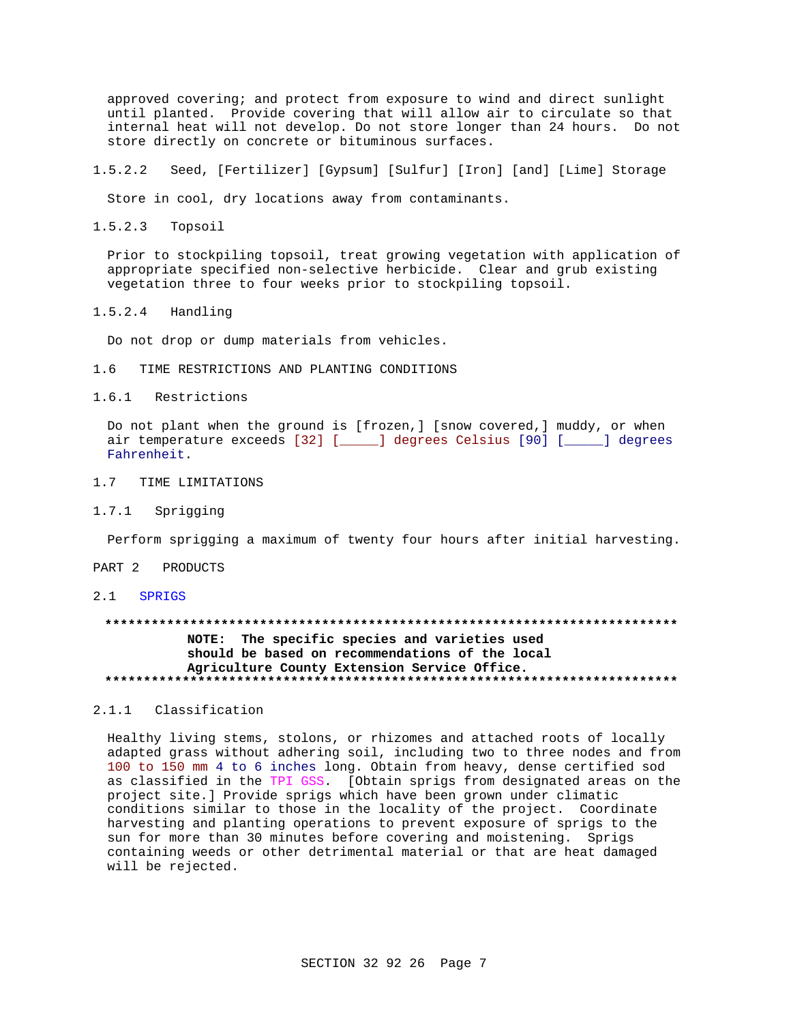approved covering; and protect from exposure to wind and direct sunlight until planted. Provide covering that will allow air to circulate so that internal heat will not develop. Do not store longer than 24 hours. Do not store directly on concrete or bituminous surfaces.

 $1.5.2.2$ Seed, [Fertilizer] [Gypsum] [Sulfur] [Iron] [and] [Lime] Storage

Store in cool, dry locations away from contaminants.

 $1.5.2.3$ Topsoil

> Prior to stockpiling topsoil, treat growing vegetation with application of appropriate specified non-selective herbicide. Clear and grub existing vegetation three to four weeks prior to stockpiling topsoil.

 $1.5.2.4$ Handling

Do not drop or dump materials from vehicles.

 $1.6$ TIME RESTRICTIONS AND PLANTING CONDITIONS

1.6.1 Restrictions

Do not plant when the ground is [frozen,] [snow covered,] muddy, or when air temperature exceeds [32] [\_\_\_\_\_] degrees Celsius [90] [\_\_\_\_\_] degrees Fahrenheit.

- 1.7 TIME LIMITATIONS
- $1.7.1$ Sprigging

Perform sprigging a maximum of twenty four hours after initial harvesting.

PART 2 PRODUCTS

2.1 SPRIGS

# NOTE: The specific species and varieties used should be based on recommendations of the local Agriculture County Extension Service Office.

## 2.1.1 Classification

Healthy living stems, stolons, or rhizomes and attached roots of locally adapted grass without adhering soil, including two to three nodes and from 100 to 150 mm 4 to 6 inches long. Obtain from heavy, dense certified sod as classified in the TPI GSS. [Obtain sprigs from designated areas on the project site.] Provide sprigs which have been grown under climatic conditions similar to those in the locality of the project. Coordinate harvesting and planting operations to prevent exposure of sprigs to the sun for more than 30 minutes before covering and moistening. Sprigs containing weeds or other detrimental material or that are heat damaged will be rejected.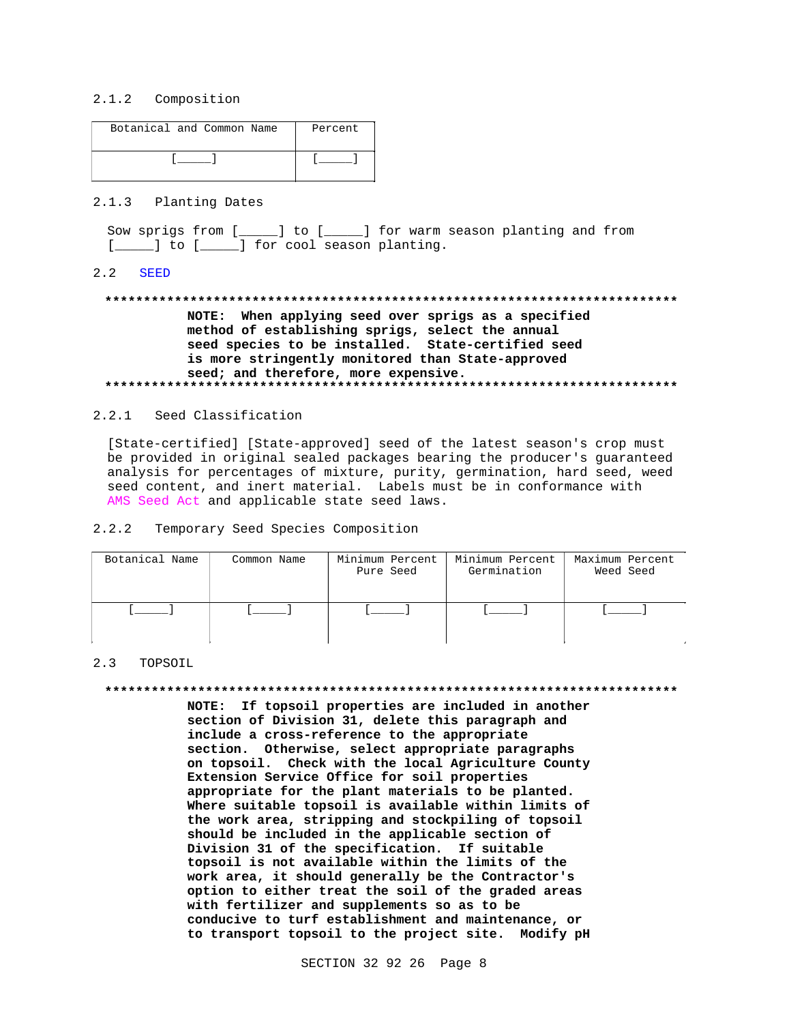## 2.1.2 Composition

| Botanical and Common Name | Percent |
|---------------------------|---------|
|                           |         |

# 2.1.3 Planting Dates

Sow sprigs from [\_\_\_\_\_] to [\_\_\_\_\_] for warm season planting and from [ ] to [ ] for cool season planting.

#### $2.2$ **SEED**

# NOTE: When applying seed over sprigs as a specified method of establishing sprigs, select the annual seed species to be installed. State-certified seed is more stringently monitored than State-approved seed; and therefore, more expensive.

### 2.2.1 Seed Classification

[State-certified] [State-approved] seed of the latest season's crop must be provided in original sealed packages bearing the producer's guaranteed analysis for percentages of mixture, purity, germination, hard seed, weed seed content, and inert material. Labels must be in conformance with AMS Seed Act and applicable state seed laws.

#### Temporary Seed Species Composition  $2.2.2$

| Botanical Name | Common Name | Minimum Percent<br>Pure Seed | Minimum Percent<br>Germination | Maximum Percent<br>Weed Seed |
|----------------|-------------|------------------------------|--------------------------------|------------------------------|
|                |             |                              |                                |                              |

## 2.3 TOPSOIL

#### 

NOTE: If topsoil properties are included in another section of Division 31, delete this paragraph and include a cross-reference to the appropriate section. Otherwise, select appropriate paragraphs on topsoil. Check with the local Agriculture County Extension Service Office for soil properties appropriate for the plant materials to be planted. Where suitable topsoil is available within limits of the work area, stripping and stockpiling of topsoil should be included in the applicable section of Division 31 of the specification. If suitable topsoil is not available within the limits of the work area, it should generally be the Contractor's option to either treat the soil of the graded areas with fertilizer and supplements so as to be conducive to turf establishment and maintenance, or to transport topsoil to the project site. Modify pH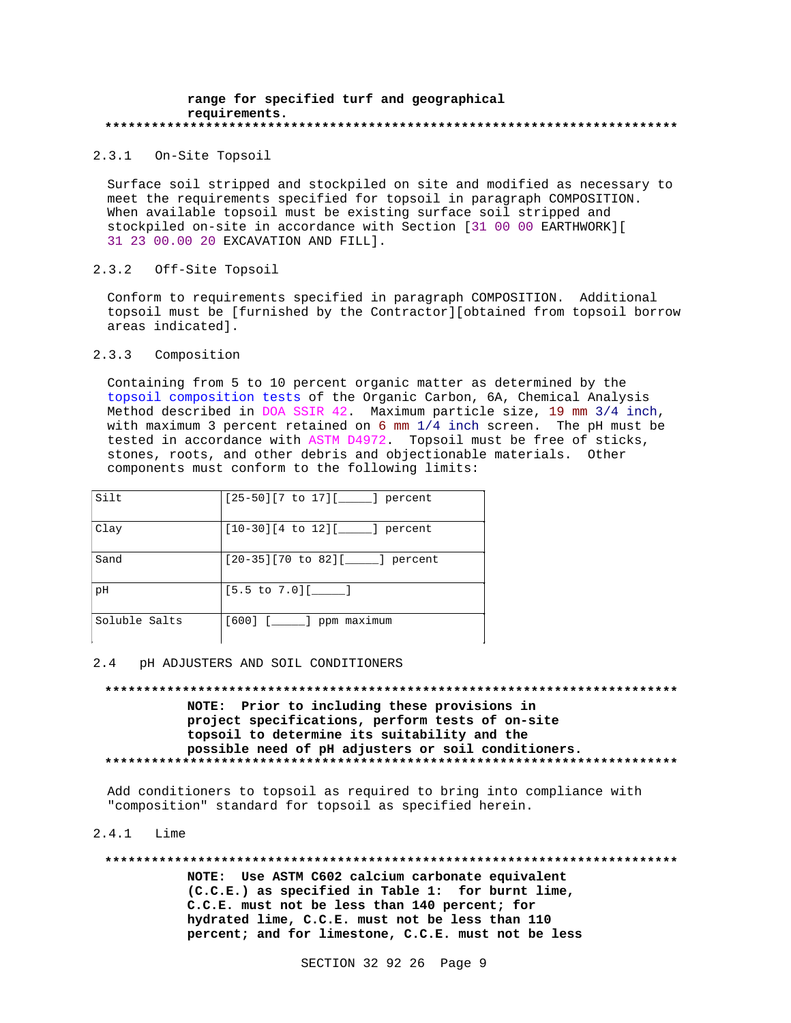### **range for specified turf and geographical requirements. \*\*\*\*\*\*\*\*\*\*\*\*\*\*\*\*\*\*\*\*\*\*\*\*\*\*\*\*\*\*\*\*\*\*\*\*\*\*\*\*\*\*\*\*\*\*\*\*\*\*\*\*\*\*\*\*\*\*\*\*\*\*\*\*\*\*\*\*\*\*\*\*\*\***

2.3.1 On-Site Topsoil

Surface soil stripped and stockpiled on site and modified as necessary to meet the requirements specified for topsoil in paragraph COMPOSITION. When available topsoil must be existing surface soil stripped and stockpiled on-site in accordance with Section [31 00 00 EARTHWORK][ 31 23 00.00 20 EXCAVATION AND FILL].

## 2.3.2 Off-Site Topsoil

Conform to requirements specified in paragraph COMPOSITION. Additional topsoil must be [furnished by the Contractor][obtained from topsoil borrow areas indicated].

# 2.3.3 Composition

Containing from 5 to 10 percent organic matter as determined by the topsoil composition tests of the Organic Carbon, 6A, Chemical Analysis Method described in DOA SSIR 42. Maximum particle size, 19 mm 3/4 inch, with maximum 3 percent retained on 6 mm 1/4 inch screen. The pH must be tested in accordance with ASTM D4972. Topsoil must be free of sticks, stones, roots, and other debris and objectionable materials. Other components must conform to the following limits:

| Silt          | $[25-50][7$ to $17][$ [ ] percent       |
|---------------|-----------------------------------------|
| Clay          | $[10-30][4$ to $12][$ [10-30]           |
| Sand          | $[20-35][70$ to $82][$ [10 [20] percent |
| рH            | $[5.5 \text{ to } 7.0]$ [______]        |
| Soluble Salts | $[600]$ $[$ $]$ ppm maximum             |

#### 2.4 pH ADJUSTERS AND SOIL CONDITIONERS

**\*\*\*\*\*\*\*\*\*\*\*\*\*\*\*\*\*\*\*\*\*\*\*\*\*\*\*\*\*\*\*\*\*\*\*\*\*\*\*\*\*\*\*\*\*\*\*\*\*\*\*\*\*\*\*\*\*\*\*\*\*\*\*\*\*\*\*\*\*\*\*\*\*\* NOTE: Prior to including these provisions in project specifications, perform tests of on-site topsoil to determine its suitability and the possible need of pH adjusters or soil conditioners. \*\*\*\*\*\*\*\*\*\*\*\*\*\*\*\*\*\*\*\*\*\*\*\*\*\*\*\*\*\*\*\*\*\*\*\*\*\*\*\*\*\*\*\*\*\*\*\*\*\*\*\*\*\*\*\*\*\*\*\*\*\*\*\*\*\*\*\*\*\*\*\*\*\***

Add conditioners to topsoil as required to bring into compliance with "composition" standard for topsoil as specified herein.

### 2.4.1 Lime

**\*\*\*\*\*\*\*\*\*\*\*\*\*\*\*\*\*\*\*\*\*\*\*\*\*\*\*\*\*\*\*\*\*\*\*\*\*\*\*\*\*\*\*\*\*\*\*\*\*\*\*\*\*\*\*\*\*\*\*\*\*\*\*\*\*\*\*\*\*\*\*\*\*\* NOTE: Use ASTM C602 calcium carbonate equivalent (C.C.E.) as specified in Table 1: for burnt lime, C.C.E. must not be less than 140 percent; for hydrated lime, C.C.E. must not be less than 110 percent; and for limestone, C.C.E. must not be less**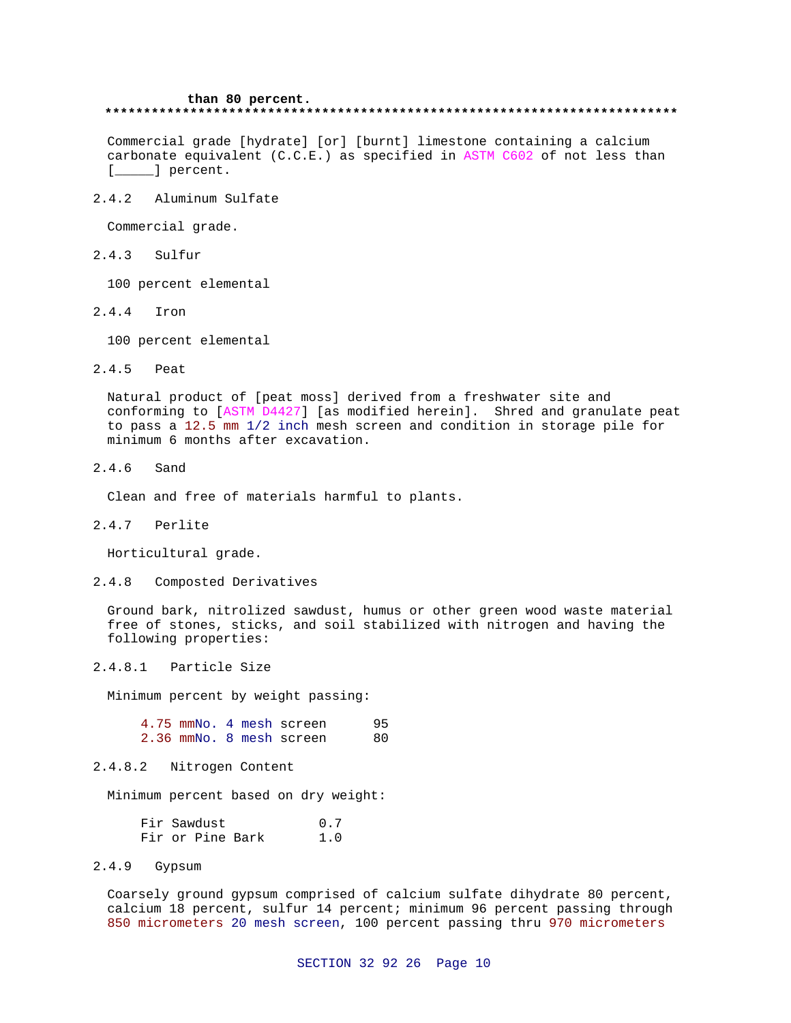# **than 80 percent. \*\*\*\*\*\*\*\*\*\*\*\*\*\*\*\*\*\*\*\*\*\*\*\*\*\*\*\*\*\*\*\*\*\*\*\*\*\*\*\*\*\*\*\*\*\*\*\*\*\*\*\*\*\*\*\*\*\*\*\*\*\*\*\*\*\*\*\*\*\*\*\*\*\***

Commercial grade [hydrate] [or] [burnt] limestone containing a calcium carbonate equivalent (C.C.E.) as specified in ASTM C602 of not less than [*\_\_\_\_\_*] percent.

2.4.2 Aluminum Sulfate

Commercial grade.

2.4.3 Sulfur

100 percent elemental

2.4.4 Iron

100 percent elemental

2.4.5 Peat

Natural product of [peat moss] derived from a freshwater site and conforming to [ASTM D4427] [as modified herein]. Shred and granulate peat to pass a 12.5 mm 1/2 inch mesh screen and condition in storage pile for minimum 6 months after excavation.

2.4.6 Sand

Clean and free of materials harmful to plants.

2.4.7 Perlite

Horticultural grade.

2.4.8 Composted Derivatives

Ground bark, nitrolized sawdust, humus or other green wood waste material free of stones, sticks, and soil stabilized with nitrogen and having the following properties:

2.4.8.1 Particle Size

Minimum percent by weight passing:

|  |  | 4.75 mmNo. 4 mesh screen | 95. |
|--|--|--------------------------|-----|
|  |  | 2.36 mmNo. 8 mesh screen | 80. |

# 2.4.8.2 Nitrogen Content

Minimum percent based on dry weight:

|  | Fir Sawdust      |  | 0.7 |  |
|--|------------------|--|-----|--|
|  | Fir or Pine Bark |  | 1.0 |  |

# 2.4.9 Gypsum

Coarsely ground gypsum comprised of calcium sulfate dihydrate 80 percent, calcium 18 percent, sulfur 14 percent; minimum 96 percent passing through 850 micrometers 20 mesh screen, 100 percent passing thru 970 micrometers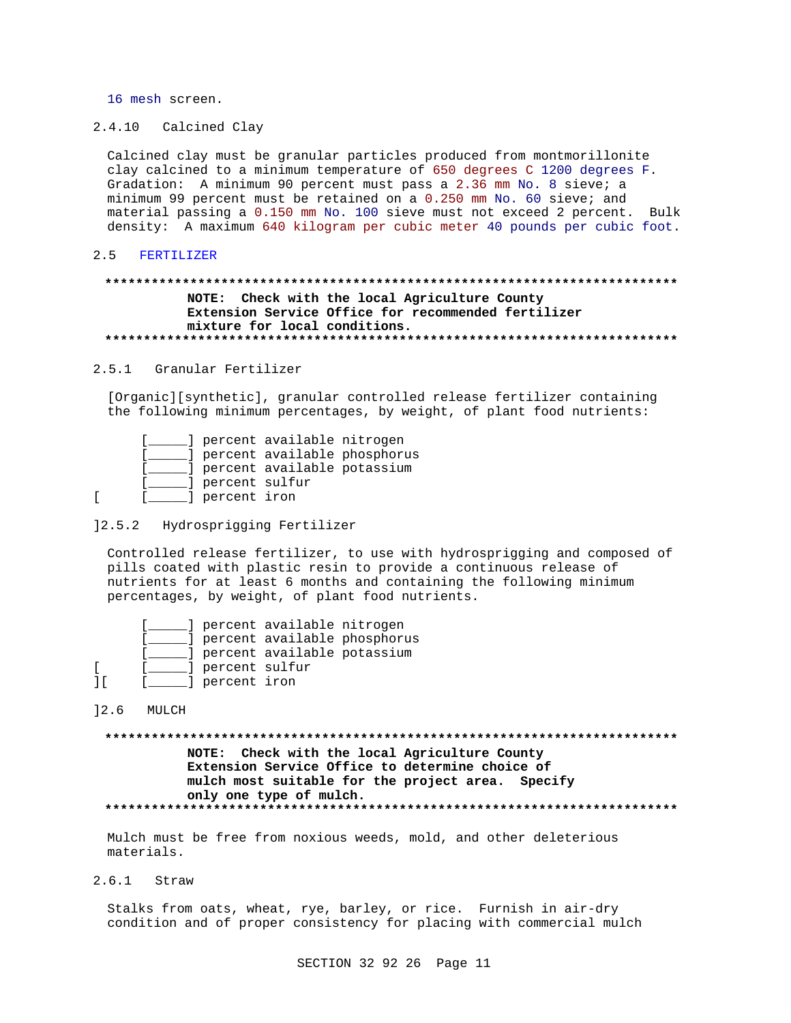16 mesh screen.

2.4.10 Calcined Clay

Calcined clay must be granular particles produced from montmorillonite clay calcined to a minimum temperature of 650 degrees C 1200 degrees F. Gradation: A minimum 90 percent must pass a 2.36 mm No. 8 sieve; a minimum 99 percent must be retained on a 0.250 mm No. 60 sieve; and material passing a 0.150 mm No. 100 sieve must not exceed 2 percent. Bulk density: A maximum 640 kilogram per cubic meter 40 pounds per cubic foot.

#### $2.5$ FERTILIZER

## NOTE: Check with the local Agriculture County Extension Service Office for recommended fertilizer mixture for local conditions.

#### 2.5.1 Granular Fertilizer

[Organic][synthetic], granular controlled release fertilizer containing the following minimum percentages, by weight, of plant food nutrients:

|                  | d percent available nitrogen  |                                |
|------------------|-------------------------------|--------------------------------|
|                  |                               | ] percent available phosphorus |
|                  | ] percent available potassium |                                |
| d percent sulfur |                               |                                |
| ] percent iron   |                               |                                |

## 12.5.2 Hydrosprigging Fertilizer

Controlled release fertilizer, to use with hydrosprigging and composed of pills coated with plastic resin to provide a continuous release of nutrients for at least 6 months and containing the following minimum percentages, by weight, of plant food nutrients.

|                  | ] percent available nitrogen |                             |
|------------------|------------------------------|-----------------------------|
|                  |                              | depend available phosphorus |
|                  | dercent available potassium  |                             |
| d percent sulfur |                              |                             |
| ] percent iron   |                              |                             |

 $12.6$ MULCH

 $\mathbf{r}$ 

 $\mathbf{r}$  $\overline{\phantom{a}}$ 

> NOTE: Check with the local Agriculture County Extension Service Office to determine choice of mulch most suitable for the project area. Specify only one type of mulch.

Mulch must be free from noxious weeds, mold, and other deleterious materials.

 $2.6.1$ Straw

> Stalks from oats, wheat, rye, barley, or rice. Furnish in air-dry condition and of proper consistency for placing with commercial mulch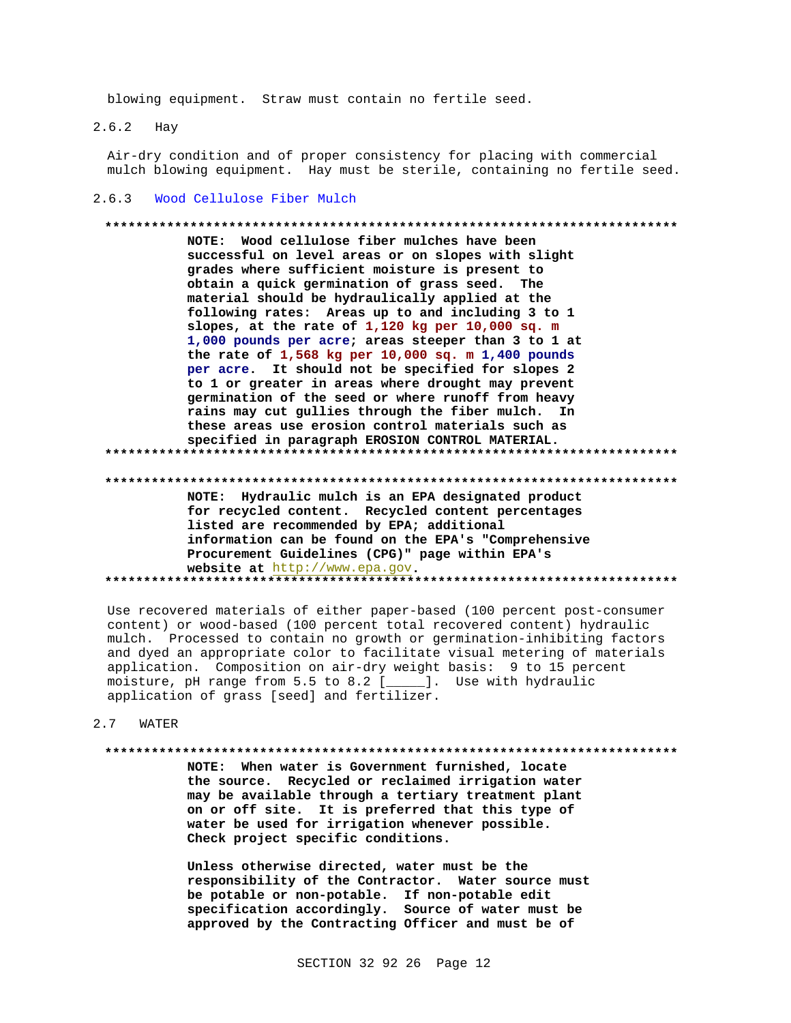blowing equipment. Straw must contain no fertile seed.

 $2.6.2$ Hay

> Air-dry condition and of proper consistency for placing with commercial mulch blowing equipment. Hay must be sterile, containing no fertile seed.

### 2.6.3 Wood Cellulose Fiber Mulch

# NOTE: Wood cellulose fiber mulches have been

successful on level areas or on slopes with slight grades where sufficient moisture is present to obtain a quick germination of grass seed. The material should be hydraulically applied at the following rates: Areas up to and including 3 to 1 slopes, at the rate of 1,120 kg per 10,000 sq. m 1,000 pounds per acre; areas steeper than 3 to 1 at the rate of  $1,568$  kg per  $10,000$  sq. m  $1,400$  pounds per acre. It should not be specified for slopes 2 to 1 or greater in areas where drought may prevent germination of the seed or where runoff from heavy rains may cut gullies through the fiber mulch. In these areas use erosion control materials such as specified in paragraph EROSION CONTROL MATERIAL. 

NOTE: Hydraulic mulch is an EPA designated product for recycled content. Recycled content percentages listed are recommended by EPA; additional information can be found on the EPA's "Comprehensive Procurement Guidelines (CPG)" page within EPA's website at http://www.epa.gov. 

Use recovered materials of either paper-based (100 percent post-consumer content) or wood-based (100 percent total recovered content) hydraulic mulch. Processed to contain no growth or germination-inhibiting factors and dyed an appropriate color to facilitate visual metering of materials application. Composition on air-dry weight basis: 9 to 15 percent moisture, pH range from 5.5 to 8.2 [\_\_\_\_]. Use with hydraulic application of grass [seed] and fertilizer.

 $2.7$ WATER

## 

NOTE: When water is Government furnished, locate the source. Recycled or reclaimed irrigation water may be available through a tertiary treatment plant on or off site. It is preferred that this type of water be used for irrigation whenever possible. Check project specific conditions.

Unless otherwise directed, water must be the responsibility of the Contractor. Water source must be potable or non-potable. If non-potable edit specification accordingly. Source of water must be approved by the Contracting Officer and must be of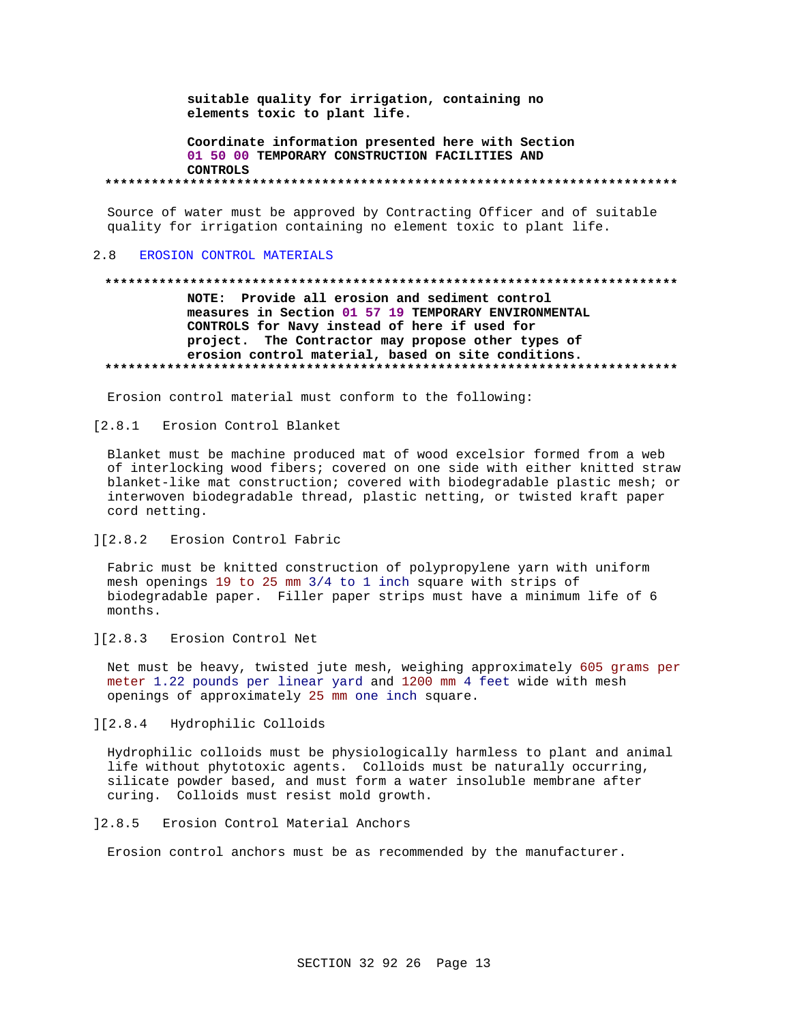suitable quality for irrigation, containing no elements toxic to plant life.

Coordinate information presented here with Section 01 50 00 TEMPORARY CONSTRUCTION FACILITIES AND **CONTROLS** 

Source of water must be approved by Contracting Officer and of suitable quality for irrigation containing no element toxic to plant life.

#### $2.8$ EROSION CONTROL MATERIALS

# NOTE: Provide all erosion and sediment control measures in Section 01 57 19 TEMPORARY ENVIRONMENTAL CONTROLS for Navy instead of here if used for project. The Contractor may propose other types of erosion control material, based on site conditions.

Erosion control material must conform to the following:

## [2.8.1 Erosion Control Blanket

Blanket must be machine produced mat of wood excelsior formed from a web of interlocking wood fibers; covered on one side with either knitted straw blanket-like mat construction; covered with biodegradable plastic mesh; or interwoven biodegradable thread, plastic netting, or twisted kraft paper cord netting.

#### $1[2.8.2]$ Erosion Control Fabric

Fabric must be knitted construction of polypropylene yarn with uniform mesh openings 19 to 25 mm 3/4 to 1 inch square with strips of biodegradable paper. Filler paper strips must have a minimum life of 6 months.

#### $] [2.8.3]$ Erosion Control Net

Net must be heavy, twisted jute mesh, weighing approximately 605 grams per meter 1.22 pounds per linear yard and 1200 mm 4 feet wide with mesh openings of approximately 25 mm one inch square.

## ][2.8.4 Hydrophilic Colloids

Hydrophilic colloids must be physiologically harmless to plant and animal life without phytotoxic agents. Colloids must be naturally occurring, silicate powder based, and must form a water insoluble membrane after curing. Colloids must resist mold growth.

# 12.8.5 Erosion Control Material Anchors

Erosion control anchors must be as recommended by the manufacturer.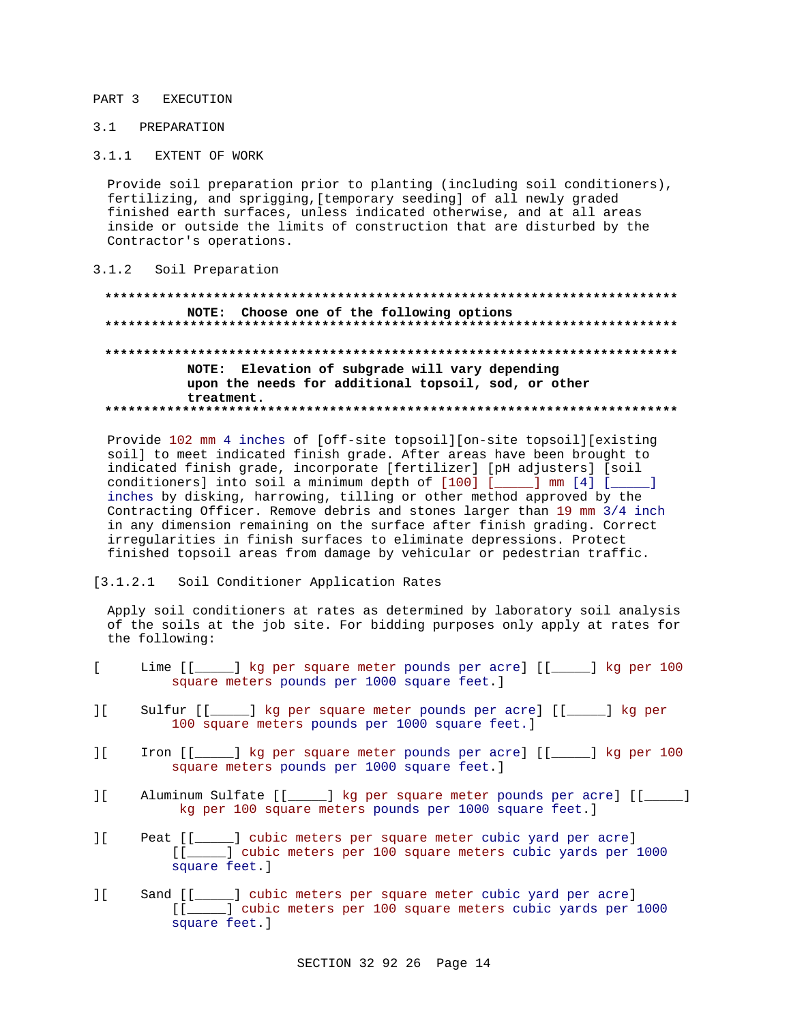#### PART<sub>3</sub> EXECUTION

# 3.1 PREPARATION

 $3.1.1$ EXTENT OF WORK

Provide soil preparation prior to planting (including soil conditioners), fertilizing, and sprigging, [temporary seeding] of all newly graded finished earth surfaces, unless indicated otherwise, and at all areas inside or outside the limits of construction that are disturbed by the Contractor's operations.

 $3.1.2$ Soil Preparation

NOTE: Choose one of the following options NOTE: Elevation of subgrade will vary depending upon the needs for additional topsoil, sod, or other treatment. 

Provide 102 mm 4 inches of [off-site topsoil][on-site topsoil][existing soil] to meet indicated finish grade. After areas have been brought to indicated finish grade, incorporate [fertilizer] [pH adjusters] [soil conditioners] into soil a minimum depth of [100] [\_\_\_\_] mm [4] [\_\_\_\_] inches by disking, harrowing, tilling or other method approved by the Contracting Officer. Remove debris and stones larger than 19 mm 3/4 inch in any dimension remaining on the surface after finish grading. Correct irregularities in finish surfaces to eliminate depressions. Protect finished topsoil areas from damage by vehicular or pedestrian traffic.

 $[3.1.2.1]$ Soil Conditioner Application Rates

Apply soil conditioners at rates as determined by laboratory soil analysis of the soils at the job site. For bidding purposes only apply at rates for the following:

- $\mathbf{r}$ Lime [[\_\_\_\_\_] kg per square meter pounds per acre] [[\_\_\_\_\_] kg per 100 square meters pounds per 1000 square feet.]
- $\overline{11}$ Sulfur  $[$ [ $\rule{1em}{0.15mm}$ \_\_] kg per square meter pounds per acre] [[\_\_\_\_\_] kg per 100 square meters pounds per 1000 square feet.]
- $\overline{\phantom{a}}$ Iron [[\_\_\_\_\_] kg per square meter pounds per acre] [[\_\_\_\_] kg per 100 square meters pounds per 1000 square feet.]
- $\overline{11}$ Aluminum Sulfate [[\_\_\_\_\_] kg per square meter pounds per acre] [[\_\_\_\_] kg per 100 square meters pounds per 1000 square feet.]
- $1<sup>1</sup>$ \_] cubic meters per square meter cubic yard per acre] Peat [[ [[\_\_\_\_] cubic meters per 100 square meters cubic yards per 1000 square feet.]
- Sand [[\_\_\_\_] cubic meters per square meter cubic yard per acre]  $\overline{\phantom{a}}$ [[\_\_\_\_] cubic meters per 100 square meters cubic yards per 1000 square feet.]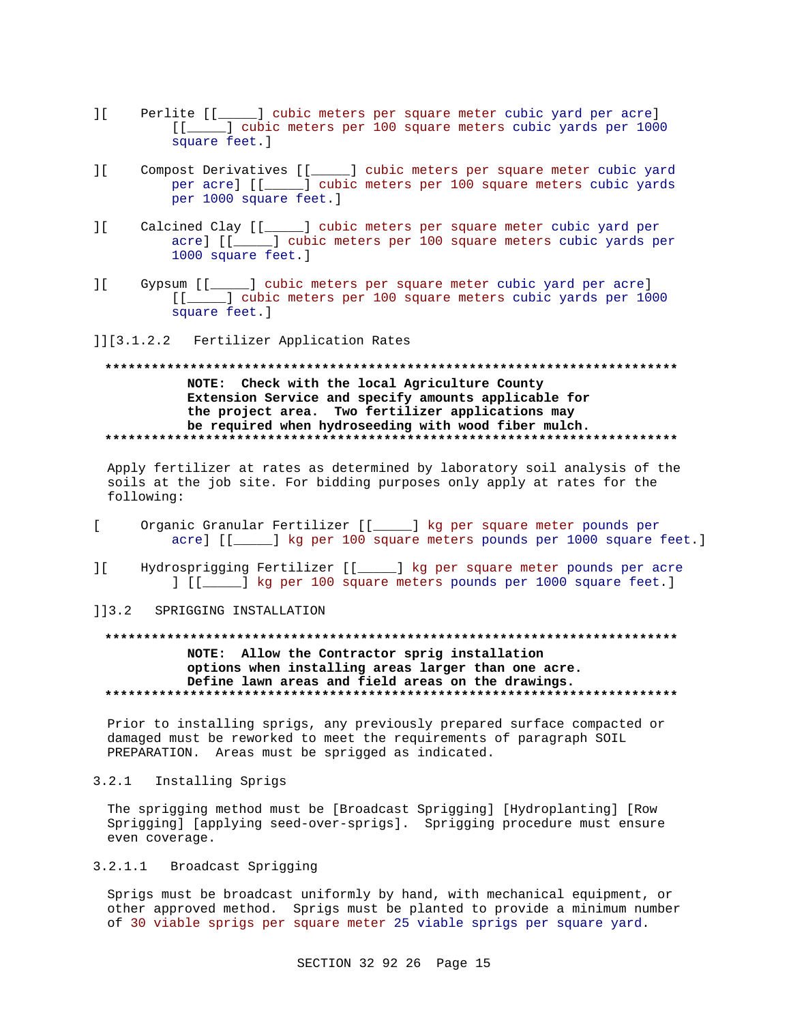- ][ Perlite [[\_\_\_\_\_] cubic meters per square meter cubic yard per acre] [[\_\_\_\_\_] cubic meters per 100 square meters cubic yards per 1000 square feet.]
- ][ Compost Derivatives [[\_\_\_\_\_] cubic meters per square meter cubic yard per acre] [[\_\_\_\_\_] cubic meters per 100 square meters cubic yards per 1000 square feet.]
- ][ Calcined Clay [[\_\_\_\_\_] cubic meters per square meter cubic yard per acre] [[\_\_\_\_\_] cubic meters per 100 square meters cubic yards per 1000 square feet.]
- ][ Gypsum [[\_\_\_\_\_] cubic meters per square meter cubic yard per acre] [[\_\_\_\_\_] cubic meters per 100 square meters cubic yards per 1000 square feet.]
- ]][3.1.2.2 Fertilizer Application Rates

# **\*\*\*\*\*\*\*\*\*\*\*\*\*\*\*\*\*\*\*\*\*\*\*\*\*\*\*\*\*\*\*\*\*\*\*\*\*\*\*\*\*\*\*\*\*\*\*\*\*\*\*\*\*\*\*\*\*\*\*\*\*\*\*\*\*\*\*\*\*\*\*\*\*\* NOTE: Check with the local Agriculture County Extension Service and specify amounts applicable for the project area. Two fertilizer applications may be required when hydroseeding with wood fiber mulch. \*\*\*\*\*\*\*\*\*\*\*\*\*\*\*\*\*\*\*\*\*\*\*\*\*\*\*\*\*\*\*\*\*\*\*\*\*\*\*\*\*\*\*\*\*\*\*\*\*\*\*\*\*\*\*\*\*\*\*\*\*\*\*\*\*\*\*\*\*\*\*\*\*\***

Apply fertilizer at rates as determined by laboratory soil analysis of the soils at the job site. For bidding purposes only apply at rates for the following:

- [ Organic Granular Fertilizer [[\_\_\_\_\_] kg per square meter pounds per acre] [[\_\_\_\_] kg per 100 square meters pounds per 1000 square feet.]
- ][ Hydrosprigging Fertilizer [[\_\_\_\_\_] kg per square meter pounds per acre ] [[\_\_\_\_\_] kg per 100 square meters pounds per 1000 square feet.]
- ]]3.2 SPRIGGING INSTALLATION

## **\*\*\*\*\*\*\*\*\*\*\*\*\*\*\*\*\*\*\*\*\*\*\*\*\*\*\*\*\*\*\*\*\*\*\*\*\*\*\*\*\*\*\*\*\*\*\*\*\*\*\*\*\*\*\*\*\*\*\*\*\*\*\*\*\*\*\*\*\*\*\*\*\*\***

**NOTE: Allow the Contractor sprig installation options when installing areas larger than one acre. Define lawn areas and field areas on the drawings. \*\*\*\*\*\*\*\*\*\*\*\*\*\*\*\*\*\*\*\*\*\*\*\*\*\*\*\*\*\*\*\*\*\*\*\*\*\*\*\*\*\*\*\*\*\*\*\*\*\*\*\*\*\*\*\*\*\*\*\*\*\*\*\*\*\*\*\*\*\*\*\*\*\***

Prior to installing sprigs, any previously prepared surface compacted or damaged must be reworked to meet the requirements of paragraph SOIL PREPARATION. Areas must be sprigged as indicated.

3.2.1 Installing Sprigs

The sprigging method must be [Broadcast Sprigging] [Hydroplanting] [Row Sprigging] [applying seed-over-sprigs]. Sprigging procedure must ensure even coverage.

3.2.1.1 Broadcast Sprigging

Sprigs must be broadcast uniformly by hand, with mechanical equipment, or other approved method. Sprigs must be planted to provide a minimum number of 30 viable sprigs per square meter 25 viable sprigs per square yard.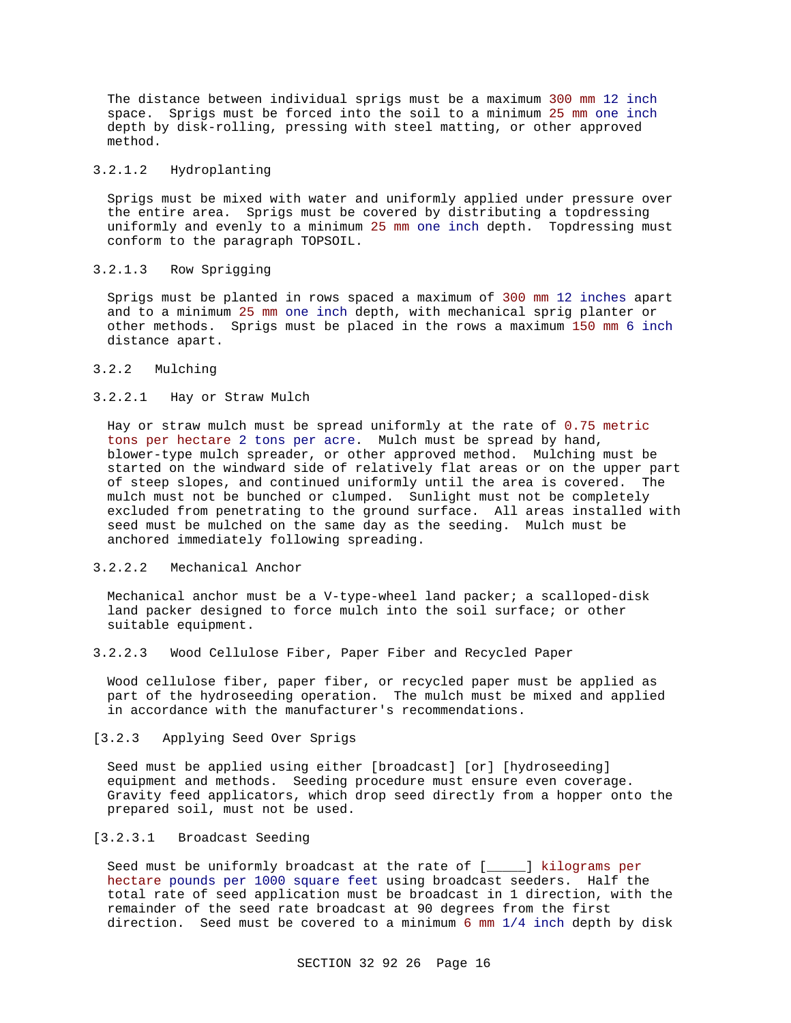The distance between individual sprigs must be a maximum 300 mm 12 inch space. Sprigs must be forced into the soil to a minimum 25 mm one inch depth by disk-rolling, pressing with steel matting, or other approved method.

## 3.2.1.2 Hydroplanting

Sprigs must be mixed with water and uniformly applied under pressure over the entire area. Sprigs must be covered by distributing a topdressing uniformly and evenly to a minimum 25 mm one inch depth. Topdressing must conform to the paragraph TOPSOIL.

## 3.2.1.3 Row Sprigging

Sprigs must be planted in rows spaced a maximum of 300 mm 12 inches apart and to a minimum 25 mm one inch depth, with mechanical sprig planter or other methods. Sprigs must be placed in the rows a maximum 150 mm 6 inch distance apart.

# 3.2.2 Mulching

## 3.2.2.1 Hay or Straw Mulch

Hay or straw mulch must be spread uniformly at the rate of 0.75 metric tons per hectare 2 tons per acre. Mulch must be spread by hand, blower-type mulch spreader, or other approved method. Mulching must be started on the windward side of relatively flat areas or on the upper part of steep slopes, and continued uniformly until the area is covered. The mulch must not be bunched or clumped. Sunlight must not be completely excluded from penetrating to the ground surface. All areas installed with seed must be mulched on the same day as the seeding. Mulch must be anchored immediately following spreading.

## 3.2.2.2 Mechanical Anchor

Mechanical anchor must be a V-type-wheel land packer; a scalloped-disk land packer designed to force mulch into the soil surface; or other suitable equipment.

3.2.2.3 Wood Cellulose Fiber, Paper Fiber and Recycled Paper

Wood cellulose fiber, paper fiber, or recycled paper must be applied as part of the hydroseeding operation. The mulch must be mixed and applied in accordance with the manufacturer's recommendations.

## [3.2.3 Applying Seed Over Sprigs

Seed must be applied using either [broadcast] [or] [hydroseeding] equipment and methods. Seeding procedure must ensure even coverage. Gravity feed applicators, which drop seed directly from a hopper onto the prepared soil, must not be used.

# [3.2.3.1 Broadcast Seeding

Seed must be uniformly broadcast at the rate of [\_\_\_\_\_] kilograms per hectare pounds per 1000 square feet using broadcast seeders. Half the total rate of seed application must be broadcast in 1 direction, with the remainder of the seed rate broadcast at 90 degrees from the first direction. Seed must be covered to a minimum 6 mm 1/4 inch depth by disk